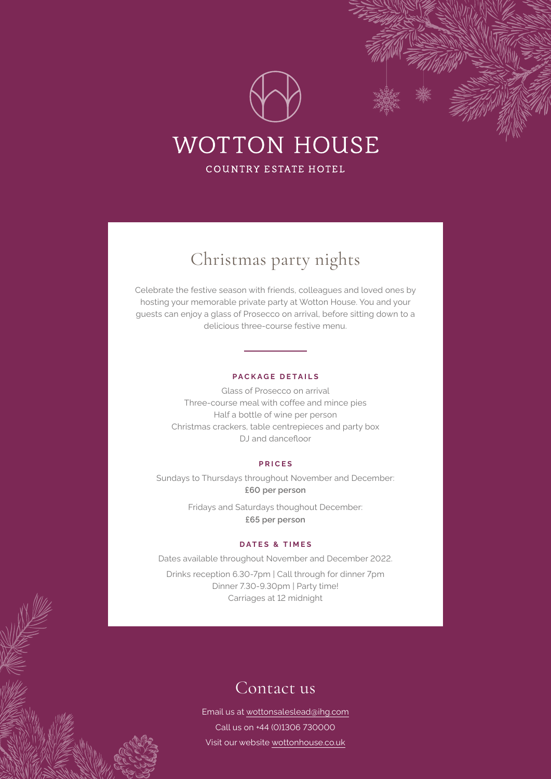

# Christmas party nights

Celebrate the festive season with friends, colleagues and loved ones by hosting your memorable private party at Wotton House. You and your guests can enjoy a glass of Prosecco on arrival, before sitting down to a delicious three-course festive menu.

#### **PACKAGE DETAILS**

Glass of Prosecco on arrival Three-course meal with coffee and mince pies Half a bottle of wine per person Christmas crackers, table centrepieces and party box DJ and dancefloor

#### **PRICES**

Sundays to Thursdays throughout November and December: **£60 per person**

> Fridays and Saturdays thoughout December: **£65 per person**

#### **DATES & TIMES**

Dates available throughout November and December 2022.

Drinks reception 6.30-7pm | Call through for dinner 7pm Dinner 7.30-9.30pm | Party time! Carriages at 12 midnight

### Contact us

Email us at [wottonsaleslead@ihg.com](mailto:wottonsaleslead%40ihg.com?subject=Festive%20season%202021%20enquiry) Call us on +44 (0)1306 730000 Visit our website [wottonhouse.co.uk](https://wottonhouse.co.uk/)